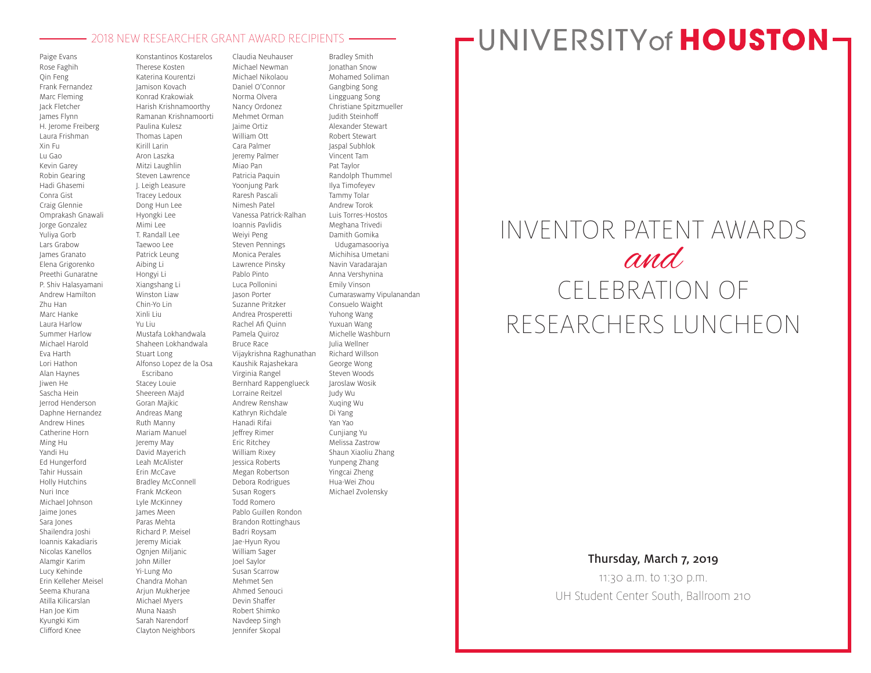#### 2018 NEW RESEARCHER GRANT AWARD RECIPIENTS

Paige Evans Rose Faghih Qin Feng Frank Fernandez Marc Fleming Jack Fletcher James Flynn H. Jerome Freiberg Laura Frishman Xin Fu Lu Gao Kevin Garey Robin Gearing Hadi Ghasemi Conra Gist Craig Glennie Omprakash Gnawali Jorge Gonzalez Yuliya Gorb Lars Grabow James Granato Elena Grigorenko Preethi Gunaratne P. Shiv Halasyamani Andrew Hamilton Zhu Han Marc Hanke Laura Harlow Summer Harlow Michael Harold Eva Harth Lori Hathon Alan Haynes Jiwen He Sascha Hein Jerrod Henderson Daphne Hernandez Andrew Hines Catherine Horn Ming Hu Yandi Hu Ed Hungerford Tahir Hussain Holly Hutchins Nuri Ince Michael Johnson Jaime Jones Sara Jones Shailendra Joshi Ioannis Kakadiaris Nicolas Kanellos Alamgir Karim Lucy Kehinde Erin Kelleher Meisel Seema Khurana Atilla Kilicarslan Han Joe Kim Kyungki Kim Clifford Knee

Konstantinos Kostarelos Therese Kosten Katerina Kourentzi Jamison Kovach Konrad Krakowiak Harish Krishnamoorthy Ramanan Krishnamoorti Paulina Kulesz Thomas Lapen Kirill Larin Aron Laszka Mitzi Laughlin Steven Lawrence J. Leigh Leasure Tracey Ledoux Dong Hun Lee Hyongki Lee Mimi Lee T. Randall Lee Taewoo Lee Patrick Leung Aibing Li Hongyi Li Xiangshang Li Winston Liaw Chin-Yo Lin Xinli Liu Yu Liu Mustafa Lokhandwala Shaheen Lokhandwala Stuart Long Alfonso Lopez de la Osa Escribano Stacey Louie Sheereen Majd Goran Majkic Andreas Mang Ruth Manny Mariam Manuel Jeremy May David Mayerich Leah McAlister Erin McCave Bradley McConnell Frank McKeon Lyle McKinney James Meen Paras Mehta Richard P. Meisel Jeremy Miciak Ognjen Miljanic John Miller Yi-Lung Mo Chandra Mohan Arjun Mukherjee Michael Myers Muna Naash Sarah Narendorf Claudia Neuhauser Michael Newman Michael Nikolaou Daniel O'Connor Norma Olvera Nancy Ordonez Mehmet Orman Jaime Ortiz William Ott Cara Palmer Jeremy Palmer Miao Pan Patricia Paquin Yoonjung Park Raresh Pascali Nimesh Patel Vanessa Patrick-Ralhan Ioannis Pavlidis Weiyi Peng Steven Pennings Monica Perales Lawrence Pinsky Pablo Pinto Luca Pollonini Jason Porter Suzanne Pritzker Andrea Prosperetti Rachel Afi Quinn Pamela Quiroz Bruce Race Vijaykrishna Raghunathan Kaushik Rajashekara Virginia Rangel Bernhard Rappenglueck Lorraine Reitzel Andrew Renshaw Kathryn Richdale Hanadi Rifai Jeffrey Rimer Eric Ritchey William Rixey Jessica Roberts Megan Robertson Debora Rodrigues Susan Rogers Todd Romero Pablo Guillen Rondon Brandon Rottinghaus Badri Roysam Jae-Hyun Ryou William Sager Joel Saylor Susan Scarrow Mehmet Sen Ahmed Senouci Devin Shaffer Robert Shimko Navdeep Singh

Clayton Neighbors

Jennifer Skopal

Bradley Smith Jonathan Snow Mohamed Soliman Gangbing Song Lingguang Song Christiane Spitzmueller Judith Steinhoff Alexander Stewart Robert Stewart Jaspal Subhlok Vincent Tam Pat Taylor Randolph Thummel Ilya Timofeyev Tammy Tolar Andrew Torok Luis Torres-Hostos Meghana Trivedi Damith Gomika Udugamasooriya Michihisa Umetani Navin Varadarajan Anna Vershynina Emily Vinson Cumaraswamy Vipulanandan Consuelo Waight Yuhong Wang Yuxuan Wang Michelle Washburn Julia Wellner Richard Willson George Wong Steven Woods Jaroslaw Wosik Judy Wu Xuqing Wu Di Yang Yan Yao Cunjiang Yu Melissa Zastrow Shaun Xiaoliu Zhang Yunpeng Zhang Yingcai Zheng Hua-Wei Zhou Michael Zvolensky

# **FUNIVERSITY of HOUSTON-**

# INVENTOR PATENT AWARDS and CELEBRATION OF RESEARCHERS LUNCHEON

### Thursday, March 7, 2019

11:30 a.m. to 1:30 p.m. UH Student Center South, Ballroom 210